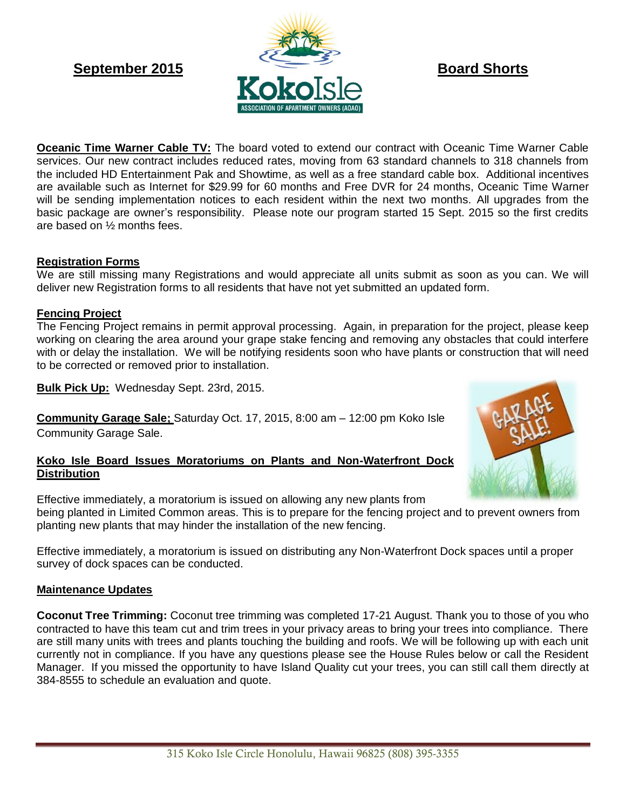

**Oceanic Time Warner Cable TV:** The board voted to extend our contract with Oceanic Time Warner Cable services. Our new contract includes reduced rates, moving from 63 standard channels to 318 channels from the included HD Entertainment Pak and Showtime, as well as a free standard cable box. Additional incentives are available such as Internet for \$29.99 for 60 months and Free DVR for 24 months, Oceanic Time Warner will be sending implementation notices to each resident within the next two months. All upgrades from the basic package are owner's responsibility. Please note our program started 15 Sept. 2015 so the first credits are based on ½ months fees.

# **Registration Forms**

We are still missing many Registrations and would appreciate all units submit as soon as you can. We will deliver new Registration forms to all residents that have not yet submitted an updated form.

# **Fencing Project**

The Fencing Project remains in permit approval processing. Again, in preparation for the project, please keep working on clearing the area around your grape stake fencing and removing any obstacles that could interfere with or delay the installation. We will be notifying residents soon who have plants or construction that will need to be corrected or removed prior to installation.

**Bulk Pick Up:** Wednesday Sept. 23rd, 2015.

**Community Garage Sale;** Saturday Oct. 17, 2015, 8:00 am – 12:00 pm Koko Isle Community Garage Sale.

## **Koko Isle Board Issues Moratoriums on Plants and Non-Waterfront Dock Distribution**



Effective immediately, a moratorium is issued on distributing any Non-Waterfront Dock spaces until a proper survey of dock spaces can be conducted.

# **Maintenance Updates**

**Coconut Tree Trimming:** Coconut tree trimming was completed 17-21 August. Thank you to those of you who contracted to have this team cut and trim trees in your privacy areas to bring your trees into compliance. There are still many units with trees and plants touching the building and roofs. We will be following up with each unit currently not in compliance. If you have any questions please see the House Rules below or call the Resident Manager. If you missed the opportunity to have Island Quality cut your trees, you can still call them directly at 384-8555 to schedule an evaluation and quote.